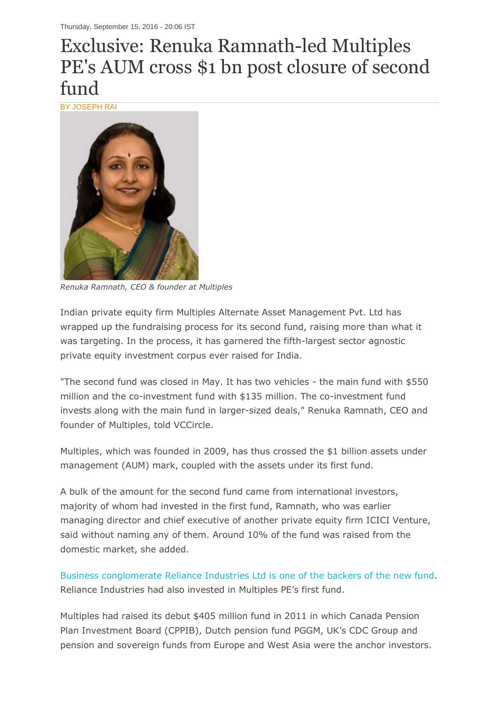## Exclusive: Renuka Ramnath-led Multiples PE's AUM cross \$1 bn post closure of second fund

BY JOSEPH RAI



*Renuka Ramnath, CEO & founder at Multiples*

Indian private equity firm Multiples Alternate Asset Management Pvt. Ltd has wrapped up the fundraising process for its second fund, raising more than what it was targeting. In the process, it has garnered the fifth-largest sector agnostic private equity investment corpus ever raised for India.

"The second fund was closed in May. It has two vehicles - the main fund with \$550 million and the co-investment fund with \$135 million. The co-investment fund invests along with the main fund in larger-sized deals," Renuka Ramnath, CEO and founder of Multiples, told VCCircle.

Multiples, which was founded in 2009, has thus crossed the \$1 billion assets under management (AUM) mark, coupled with the assets under its first fund.

A bulk of the amount for the second fund came from international investors, majority of whom had invested in the first fund, Ramnath, who was earlier managing director and chief executive of another private equity firm ICICI Venture, said without naming any of them. Around 10% of the fund was raised from the domestic market, she added.

[Business conglomerate Reliance Industries Ltd is one of the backers of the new fund.](http://www.vccircle.com/news/alternative-investment/2016/08/16/reliance-industries-goes-slow-betting-pe-vc-funds) Reliance Industries had also invested in Multiples PE's first fund.

Multiples had raised its debut \$405 million fund in 2011 in which Canada Pension Plan Investment Board (CPPIB), Dutch pension fund PGGM, UK's CDC Group and pension and sovereign funds from Europe and West Asia were the anchor investors.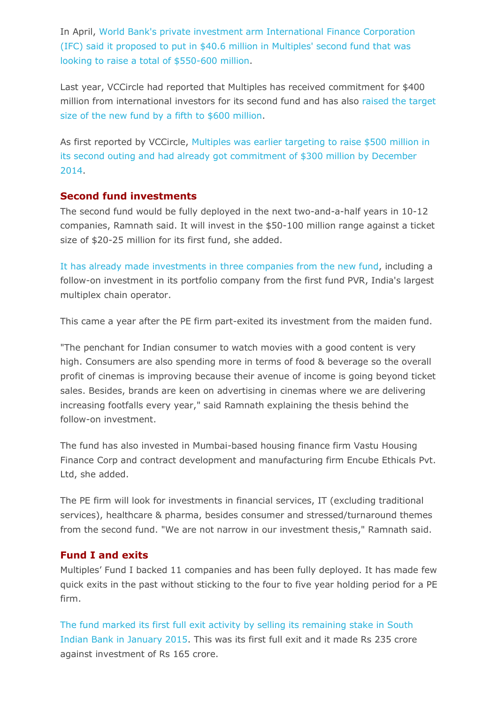In April, [World Bank's private investment arm International Finance Corporation](http://www.vccircle.com/news/alternative-investment/2016/04/14/ifc-commits-406m-pe-firm-multiples-second-fund)  [\(IFC\) said it proposed to put in \\$40.6 million in Multiples' second fund that was](http://www.vccircle.com/news/alternative-investment/2016/04/14/ifc-commits-406m-pe-firm-multiples-second-fund)  [looking to raise a total of \\$550-600 million.](http://www.vccircle.com/news/alternative-investment/2016/04/14/ifc-commits-406m-pe-firm-multiples-second-fund)

Last year, VCCircle had reported that Multiples has received commitment for \$400 million from international investors for its second fund and has also [raised the target](http://www.vccircle.com/news/alternative-investment/2015/04/30/multiples-pe-raises-size-new-fund-600m-raises-400m-make-first)  [size of the new fund by a fifth to \\$600 million.](http://www.vccircle.com/news/alternative-investment/2015/04/30/multiples-pe-raises-size-new-fund-600m-raises-400m-make-first)

As first reported by VCCircle, [Multiples was earlier targeting to raise \\$500 million in](http://www.vccircle.com/news/alternative-investment/2014/12/04/multiples-pe-nears-first-close-second-fund-300m)  [its second outing and had already got commitment of \\$300 million by December](http://www.vccircle.com/news/alternative-investment/2014/12/04/multiples-pe-nears-first-close-second-fund-300m)  [2014.](http://www.vccircle.com/news/alternative-investment/2014/12/04/multiples-pe-nears-first-close-second-fund-300m)

## **Second fund investments**

The second fund would be fully deployed in the next two-and-a-half years in 10-12 companies, Ramnath said. It will invest in the \$50-100 million range against a ticket size of \$20-25 million for its first fund, she added.

[It has already made investments in three companies from the new fund,](http://www.vccircle.com/news/media-entertainment/2015/06/12/multiples-pe-hiking-stake-pvr-cinema-just-under-20-55m) including a follow-on investment in its portfolio company from the first fund PVR, India's largest multiplex chain operator.

This came a year after the PE firm part-exited its investment from the maiden fund.

"The penchant for Indian consumer to watch movies with a good content is very high. Consumers are also spending more in terms of food & beverage so the overall profit of cinemas is improving because their avenue of income is going beyond ticket sales. Besides, brands are keen on advertising in cinemas where we are delivering increasing footfalls every year," said Ramnath explaining the thesis behind the follow-on investment.

The fund has also invested in Mumbai-based housing finance firm Vastu Housing Finance Corp and contract development and manufacturing firm Encube Ethicals Pvt. Ltd, she added.

The PE firm will look for investments in financial services, IT (excluding traditional services), healthcare & pharma, besides consumer and stressed/turnaround themes from the second fund. "We are not narrow in our investment thesis," Ramnath said.

## **Fund I and exits**

Multiples' Fund I backed 11 companies and has been fully deployed. It has made few quick exits in the past without sticking to the four to five year holding period for a PE firm.

[The fund marked its first full exit activity by selling its remaining stake in South](http://www.vccircle.com/news/banking/2015/01/02/multiples-pe-completes-debut-exit-sells-remaining-stake-south-indian-bank)  [Indian Bank in January 2015.](http://www.vccircle.com/news/banking/2015/01/02/multiples-pe-completes-debut-exit-sells-remaining-stake-south-indian-bank) This was its first full exit and it made Rs 235 crore against investment of Rs 165 crore.